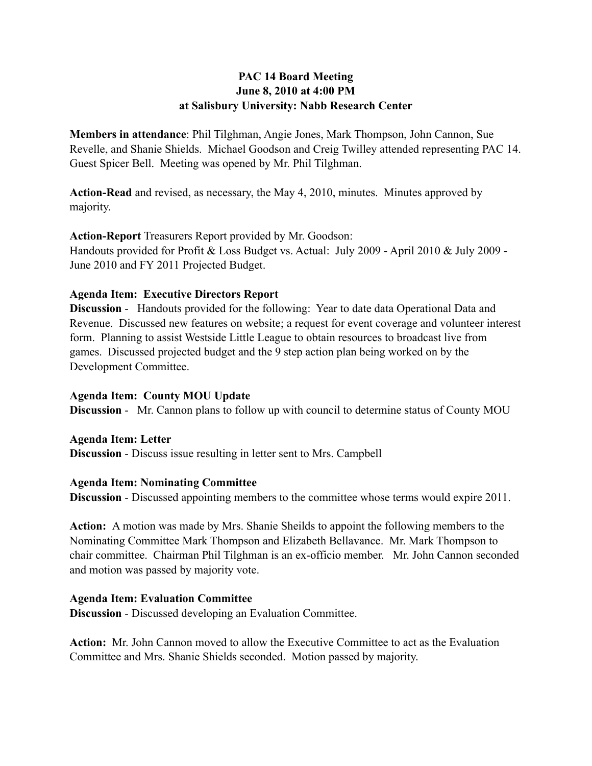# **PAC 14 Board Meeting June 8, 2010 at 4:00 PM at Salisbury University: Nabb Research Center**

**Members in attendance**: Phil Tilghman, Angie Jones, Mark Thompson, John Cannon, Sue Revelle, and Shanie Shields. Michael Goodson and Creig Twilley attended representing PAC 14. Guest Spicer Bell. Meeting was opened by Mr. Phil Tilghman.

**Action-Read** and revised, as necessary, the May 4, 2010, minutes. Minutes approved by majority.

**Action-Report** Treasurers Report provided by Mr. Goodson: Handouts provided for Profit & Loss Budget vs. Actual: July 2009 - April 2010 & July 2009 - June 2010 and FY 2011 Projected Budget.

# **Agenda Item: Executive Directors Report**

**Discussion** - Handouts provided for the following: Year to date data Operational Data and Revenue. Discussed new features on website; a request for event coverage and volunteer interest form. Planning to assist Westside Little League to obtain resources to broadcast live from games. Discussed projected budget and the 9 step action plan being worked on by the Development Committee.

## **Agenda Item: County MOU Update**

**Discussion** - Mr. Cannon plans to follow up with council to determine status of County MOU

**Agenda Item: Letter Discussion** - Discuss issue resulting in letter sent to Mrs. Campbell

## **Agenda Item: Nominating Committee**

**Discussion** - Discussed appointing members to the committee whose terms would expire 2011.

**Action:** A motion was made by Mrs. Shanie Sheilds to appoint the following members to the Nominating Committee Mark Thompson and Elizabeth Bellavance. Mr. Mark Thompson to chair committee. Chairman Phil Tilghman is an ex-officio member. Mr. John Cannon seconded and motion was passed by majority vote.

# **Agenda Item: Evaluation Committee**

**Discussion** - Discussed developing an Evaluation Committee.

**Action:** Mr. John Cannon moved to allow the Executive Committee to act as the Evaluation Committee and Mrs. Shanie Shields seconded. Motion passed by majority.